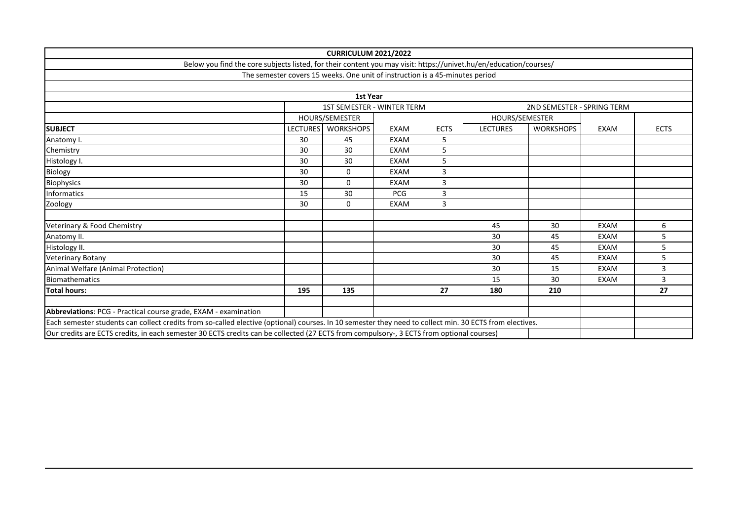|                                                                                                                                                         |                 | <b>CURRICULUM 2021/2022</b>                                                  |             |                            |                 |                  |             |             |
|---------------------------------------------------------------------------------------------------------------------------------------------------------|-----------------|------------------------------------------------------------------------------|-------------|----------------------------|-----------------|------------------|-------------|-------------|
| Below you find the core subjects listed, for their content you may visit: https://univet.hu/en/education/courses/                                       |                 |                                                                              |             |                            |                 |                  |             |             |
|                                                                                                                                                         |                 | The semester covers 15 weeks. One unit of instruction is a 45-minutes period |             |                            |                 |                  |             |             |
|                                                                                                                                                         |                 |                                                                              |             |                            |                 |                  |             |             |
|                                                                                                                                                         |                 | 1st Year                                                                     |             |                            |                 |                  |             |             |
|                                                                                                                                                         |                 | <b>1ST SEMESTER - WINTER TERM</b>                                            |             | 2ND SEMESTER - SPRING TERM |                 |                  |             |             |
|                                                                                                                                                         |                 | HOURS/SEMESTER                                                               |             |                            | HOURS/SEMESTER  |                  |             |             |
| <b>SUBJECT</b>                                                                                                                                          | <b>LECTURES</b> | <b>WORKSHOPS</b>                                                             | <b>EXAM</b> | <b>ECTS</b>                | <b>LECTURES</b> | <b>WORKSHOPS</b> | <b>EXAM</b> | <b>ECTS</b> |
| Anatomy I.                                                                                                                                              | 30              | 45                                                                           | <b>EXAM</b> | 5                          |                 |                  |             |             |
| Chemistry                                                                                                                                               | 30              | 30                                                                           | <b>EXAM</b> | 5                          |                 |                  |             |             |
| Histology I.                                                                                                                                            | 30              | 30                                                                           | <b>EXAM</b> | 5                          |                 |                  |             |             |
| Biology                                                                                                                                                 | 30              | 0                                                                            | <b>EXAM</b> | 3                          |                 |                  |             |             |
| <b>Biophysics</b>                                                                                                                                       | 30              | $\Omega$                                                                     | <b>EXAM</b> | 3                          |                 |                  |             |             |
| Informatics                                                                                                                                             | 15              | 30                                                                           | <b>PCG</b>  | 3                          |                 |                  |             |             |
| Zoology                                                                                                                                                 | 30              | $\mathbf 0$                                                                  | <b>EXAM</b> | 3                          |                 |                  |             |             |
|                                                                                                                                                         |                 |                                                                              |             |                            |                 |                  |             |             |
| Veterinary & Food Chemistry                                                                                                                             |                 |                                                                              |             |                            | 45              | 30               | <b>EXAM</b> | 6           |
| Anatomy II.                                                                                                                                             |                 |                                                                              |             |                            | 30              | 45               | <b>EXAM</b> | 5           |
| Histology II.                                                                                                                                           |                 |                                                                              |             |                            | 30              | 45               | <b>EXAM</b> | 5           |
| <b>Veterinary Botany</b>                                                                                                                                |                 |                                                                              |             |                            | 30              | 45               | <b>EXAM</b> | 5           |
| Animal Welfare (Animal Protection)                                                                                                                      |                 |                                                                              |             |                            | 30              | 15               | <b>EXAM</b> | 3           |
| <b>Biomathematics</b>                                                                                                                                   |                 |                                                                              |             |                            | 15              | 30               | <b>EXAM</b> | 3           |
| <b>Total hours:</b>                                                                                                                                     | 195             | 135                                                                          |             | 27                         | 180             | 210              |             | 27          |
|                                                                                                                                                         |                 |                                                                              |             |                            |                 |                  |             |             |
| Abbreviations: PCG - Practical course grade, EXAM - examination                                                                                         |                 |                                                                              |             |                            |                 |                  |             |             |
| Each semester students can collect credits from so-called elective (optional) courses. In 10 semester they need to collect min. 30 ECTS from electives. |                 |                                                                              |             |                            |                 |                  |             |             |
| Our credits are ECTS credits, in each semester 30 ECTS credits can be collected (27 ECTS from compulsory-, 3 ECTS from optional courses)                |                 |                                                                              |             |                            |                 |                  |             |             |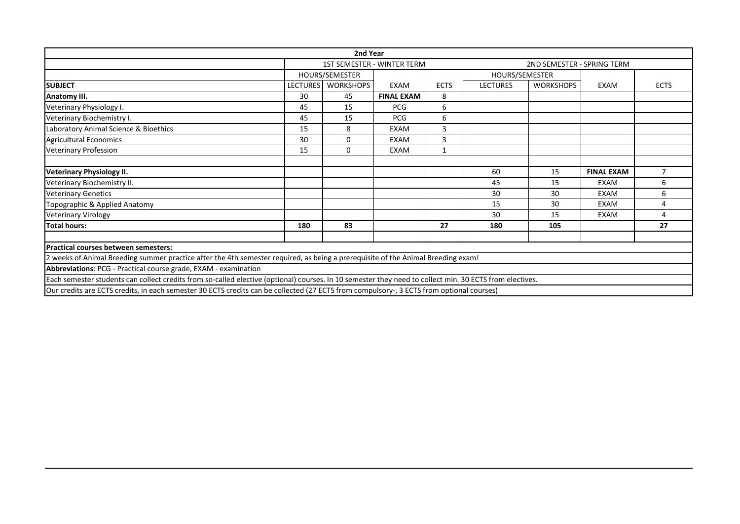|                                                                                                                                                         |                 | 2nd Year         |                                   |                |                 |                            |                   |                |
|---------------------------------------------------------------------------------------------------------------------------------------------------------|-----------------|------------------|-----------------------------------|----------------|-----------------|----------------------------|-------------------|----------------|
|                                                                                                                                                         |                 |                  | <b>1ST SEMESTER - WINTER TERM</b> |                |                 | 2ND SEMESTER - SPRING TERM |                   |                |
|                                                                                                                                                         | HOURS/SEMESTER  |                  | HOURS/SEMESTER                    |                |                 |                            |                   |                |
| <b>SUBJECT</b>                                                                                                                                          | <b>LECTURES</b> | <b>WORKSHOPS</b> | EXAM                              | <b>ECTS</b>    | <b>LECTURES</b> | <b>WORKSHOPS</b>           | EXAM              | <b>ECTS</b>    |
| Anatomy III.                                                                                                                                            | 30              | 45               | <b>FINAL EXAM</b>                 | 8              |                 |                            |                   |                |
| Veterinary Physiology I.                                                                                                                                | 45              | 15               | <b>PCG</b>                        | 6              |                 |                            |                   |                |
| Veterinary Biochemistry I.                                                                                                                              | 45              | 15               | <b>PCG</b>                        | 6              |                 |                            |                   |                |
| Laboratory Animal Science & Bioethics                                                                                                                   | 15              | 8                | <b>EXAM</b>                       | 3              |                 |                            |                   |                |
| <b>Agricultural Economics</b>                                                                                                                           | 30              | $\Omega$         | <b>EXAM</b>                       | $\overline{3}$ |                 |                            |                   |                |
| <b>Veterinary Profession</b>                                                                                                                            | 15              | 0                | EXAM                              | 1              |                 |                            |                   |                |
|                                                                                                                                                         |                 |                  |                                   |                |                 |                            |                   |                |
| <b>Veterinary Physiology II.</b>                                                                                                                        |                 |                  |                                   |                | 60              | 15                         | <b>FINAL EXAM</b> | $\overline{7}$ |
| Veterinary Biochemistry II.                                                                                                                             |                 |                  |                                   |                | 45              | 15                         | <b>EXAM</b>       | 6              |
| <b>Veterinary Genetics</b>                                                                                                                              |                 |                  |                                   |                | 30              | 30                         | <b>EXAM</b>       | 6              |
| Topographic & Applied Anatomy                                                                                                                           |                 |                  |                                   |                | 15              | 30                         | EXAM              | 4              |
| <b>Veterinary Virology</b>                                                                                                                              |                 |                  |                                   |                | 30              | 15                         | <b>EXAM</b>       | 4              |
| <b>Total hours:</b>                                                                                                                                     | 180             | 83               |                                   | 27             | 180             | 105                        |                   | 27             |
|                                                                                                                                                         |                 |                  |                                   |                |                 |                            |                   |                |
| <b>Practical courses between semesters:</b>                                                                                                             |                 |                  |                                   |                |                 |                            |                   |                |
| 2 weeks of Animal Breeding summer practice after the 4th semester required, as being a prerequisite of the Animal Breeding exam!                        |                 |                  |                                   |                |                 |                            |                   |                |
| Abbreviations: PCG - Practical course grade, EXAM - examination                                                                                         |                 |                  |                                   |                |                 |                            |                   |                |
| Each semester students can collect credits from so-called elective (optional) courses. In 10 semester they need to collect min. 30 ECTS from electives. |                 |                  |                                   |                |                 |                            |                   |                |
| Our credits are ECTS credits, in each semester 30 ECTS credits can be collected (27 ECTS from compulsory-, 3 ECTS from optional courses)                |                 |                  |                                   |                |                 |                            |                   |                |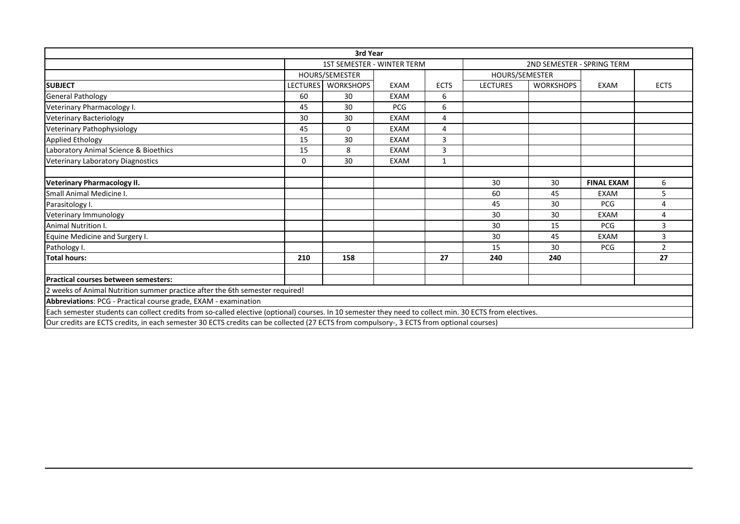|                                                                                                                                                         |                 | 3rd Year                          |             |                |                 |                            |                   |                |
|---------------------------------------------------------------------------------------------------------------------------------------------------------|-----------------|-----------------------------------|-------------|----------------|-----------------|----------------------------|-------------------|----------------|
|                                                                                                                                                         |                 | <b>1ST SEMESTER - WINTER TERM</b> |             |                |                 | 2ND SEMESTER - SPRING TERM |                   |                |
|                                                                                                                                                         |                 | HOURS/SEMESTER                    |             |                | HOURS/SEMESTER  |                            |                   |                |
| <b>SUBJECT</b>                                                                                                                                          | <b>LECTURES</b> | <b>WORKSHOPS</b>                  | EXAM        | <b>ECTS</b>    | <b>LECTURES</b> | <b>WORKSHOPS</b>           | EXAM              | <b>ECTS</b>    |
| <b>General Pathology</b>                                                                                                                                | 60              | 30                                | <b>EXAM</b> | 6              |                 |                            |                   |                |
| Veterinary Pharmacology I.                                                                                                                              | 45              | 30                                | <b>PCG</b>  | 6              |                 |                            |                   |                |
| <b>Veterinary Bacteriology</b>                                                                                                                          | 30              | 30                                | <b>EXAM</b> | 4              |                 |                            |                   |                |
| Veterinary Pathophysiology                                                                                                                              | 45              | $\Omega$                          | <b>EXAM</b> | $\overline{4}$ |                 |                            |                   |                |
| <b>Applied Ethology</b>                                                                                                                                 | 15              | 30                                | <b>EXAM</b> | 3              |                 |                            |                   |                |
| Laboratory Animal Science & Bioethics                                                                                                                   | 15              | 8                                 | <b>EXAM</b> | 3              |                 |                            |                   |                |
| <b>Veterinary Laboratory Diagnostics</b>                                                                                                                | 0               | 30                                | <b>EXAM</b> | $\mathbf{1}$   |                 |                            |                   |                |
|                                                                                                                                                         |                 |                                   |             |                |                 |                            |                   |                |
| <b>Veterinary Pharmacology II.</b>                                                                                                                      |                 |                                   |             |                | 30              | 30                         | <b>FINAL EXAM</b> | 6              |
| Small Animal Medicine I.                                                                                                                                |                 |                                   |             |                | 60              | 45                         | <b>EXAM</b>       | 5              |
| Parasitology I.                                                                                                                                         |                 |                                   |             |                | 45              | 30                         | PCG               | 4              |
| Veterinary Immunology                                                                                                                                   |                 |                                   |             |                | 30              | 30                         | <b>EXAM</b>       | 4              |
| Animal Nutrition I.                                                                                                                                     |                 |                                   |             |                | 30              | 15                         | <b>PCG</b>        | 3              |
| Equine Medicine and Surgery I.                                                                                                                          |                 |                                   |             |                | 30              | 45                         | <b>EXAM</b>       | 3              |
| Pathology I.                                                                                                                                            |                 |                                   |             |                | 15              | 30                         | <b>PCG</b>        | $\overline{2}$ |
| <b>Total hours:</b>                                                                                                                                     | 210             | 158                               |             | 27             | 240             | 240                        |                   | 27             |
|                                                                                                                                                         |                 |                                   |             |                |                 |                            |                   |                |
| <b>Practical courses between semesters:</b>                                                                                                             |                 |                                   |             |                |                 |                            |                   |                |
| 2 weeks of Animal Nutrition summer practice after the 6th semester required!                                                                            |                 |                                   |             |                |                 |                            |                   |                |
| Abbreviations: PCG - Practical course grade, EXAM - examination                                                                                         |                 |                                   |             |                |                 |                            |                   |                |
| Each semester students can collect credits from so-called elective (optional) courses. In 10 semester they need to collect min. 30 ECTS from electives. |                 |                                   |             |                |                 |                            |                   |                |
| Our credits are ECTS credits, in each semester 30 ECTS credits can be collected (27 ECTS from compulsory-, 3 ECTS from optional courses)                |                 |                                   |             |                |                 |                            |                   |                |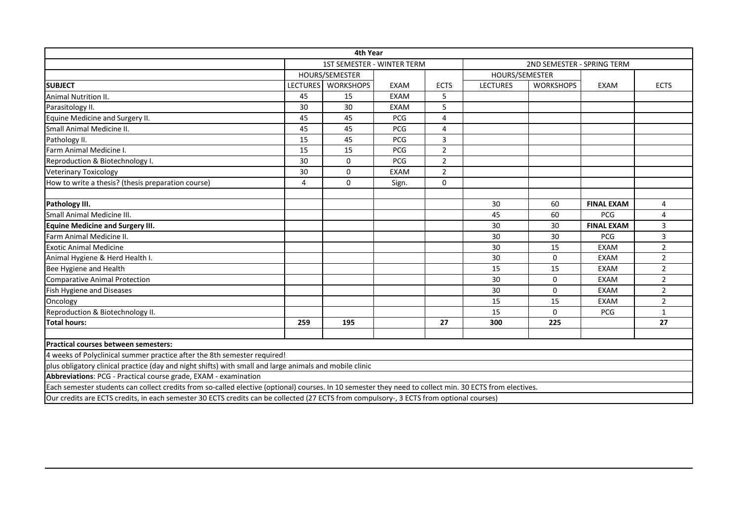|                                                                                                                                                         |                 | 4th Year                          |             |                |                 |                            |                   |                |
|---------------------------------------------------------------------------------------------------------------------------------------------------------|-----------------|-----------------------------------|-------------|----------------|-----------------|----------------------------|-------------------|----------------|
|                                                                                                                                                         |                 | <b>1ST SEMESTER - WINTER TERM</b> |             |                |                 | 2ND SEMESTER - SPRING TERM |                   |                |
|                                                                                                                                                         |                 | HOURS/SEMESTER<br>HOURS/SEMESTER  |             |                |                 |                            |                   |                |
| <b>SUBJECT</b>                                                                                                                                          | <b>LECTURES</b> | <b>WORKSHOPS</b>                  | <b>EXAM</b> | <b>ECTS</b>    | <b>LECTURES</b> | <b>WORKSHOPS</b>           | EXAM              | <b>ECTS</b>    |
| <b>Animal Nutrition II.</b>                                                                                                                             | 45              | 15                                | <b>EXAM</b> | 5              |                 |                            |                   |                |
| Parasitology II.                                                                                                                                        | 30              | 30                                | <b>EXAM</b> | 5              |                 |                            |                   |                |
| Equine Medicine and Surgery II.                                                                                                                         | 45              | 45                                | <b>PCG</b>  | 4              |                 |                            |                   |                |
| Small Animal Medicine II.                                                                                                                               | 45              | 45                                | <b>PCG</b>  | 4              |                 |                            |                   |                |
| Pathology II.                                                                                                                                           | 15              | 45                                | <b>PCG</b>  | $\overline{3}$ |                 |                            |                   |                |
| Farm Animal Medicine I.                                                                                                                                 | 15              | 15                                | <b>PCG</b>  | $\overline{2}$ |                 |                            |                   |                |
| Reproduction & Biotechnology I.                                                                                                                         | 30              | $\mathbf 0$                       | PCG         | $\overline{2}$ |                 |                            |                   |                |
| <b>Veterinary Toxicology</b>                                                                                                                            | 30              | 0                                 | <b>EXAM</b> | $\overline{2}$ |                 |                            |                   |                |
| How to write a thesis? (thesis preparation course)                                                                                                      | $\overline{4}$  | $\mathbf 0$                       | Sign.       | $\mathbf 0$    |                 |                            |                   |                |
|                                                                                                                                                         |                 |                                   |             |                |                 |                            |                   |                |
| Pathology III.                                                                                                                                          |                 |                                   |             |                | 30              | 60                         | <b>FINAL EXAM</b> | 4              |
| Small Animal Medicine III.                                                                                                                              |                 |                                   |             |                | 45              | 60                         | <b>PCG</b>        | 4              |
| <b>Equine Medicine and Surgery III.</b>                                                                                                                 |                 |                                   |             |                | 30              | 30                         | <b>FINAL EXAM</b> | 3              |
| Farm Animal Medicine II.                                                                                                                                |                 |                                   |             |                | 30              | 30                         | <b>PCG</b>        | 3              |
| <b>Exotic Animal Medicine</b>                                                                                                                           |                 |                                   |             |                | 30              | 15                         | <b>EXAM</b>       | $\overline{2}$ |
| Animal Hygiene & Herd Health I.                                                                                                                         |                 |                                   |             |                | 30              | 0                          | <b>EXAM</b>       | $\overline{2}$ |
| Bee Hygiene and Health                                                                                                                                  |                 |                                   |             |                | 15              | 15                         | <b>EXAM</b>       | $\overline{2}$ |
| <b>Comparative Animal Protection</b>                                                                                                                    |                 |                                   |             |                | 30              | $\Omega$                   | <b>EXAM</b>       | $\overline{2}$ |
| Fish Hygiene and Diseases                                                                                                                               |                 |                                   |             |                | 30              | $\Omega$                   | <b>EXAM</b>       | $\overline{2}$ |
| Oncology                                                                                                                                                |                 |                                   |             |                | 15              | 15                         | EXAM              | $\overline{2}$ |
| Reproduction & Biotechnology II.                                                                                                                        |                 |                                   |             |                | 15              | $\Omega$                   | PCG               | $\mathbf{1}$   |
| <b>Total hours:</b>                                                                                                                                     | 259             | 195                               |             | 27             | 300             | 225                        |                   | 27             |
|                                                                                                                                                         |                 |                                   |             |                |                 |                            |                   |                |
| Practical courses between semesters:                                                                                                                    |                 |                                   |             |                |                 |                            |                   |                |
| 4 weeks of Polyclinical summer practice after the 8th semester required!                                                                                |                 |                                   |             |                |                 |                            |                   |                |
| plus obligatory clinical practice (day and night shifts) with small and large animals and mobile clinic                                                 |                 |                                   |             |                |                 |                            |                   |                |
| Abbreviations: PCG - Practical course grade, EXAM - examination                                                                                         |                 |                                   |             |                |                 |                            |                   |                |
| Each semester students can collect credits from so-called elective (optional) courses. In 10 semester they need to collect min. 30 ECTS from electives. |                 |                                   |             |                |                 |                            |                   |                |
| Our credits are ECTS credits, in each semester 30 ECTS credits can be collected (27 ECTS from compulsory-, 3 ECTS from optional courses)                |                 |                                   |             |                |                 |                            |                   |                |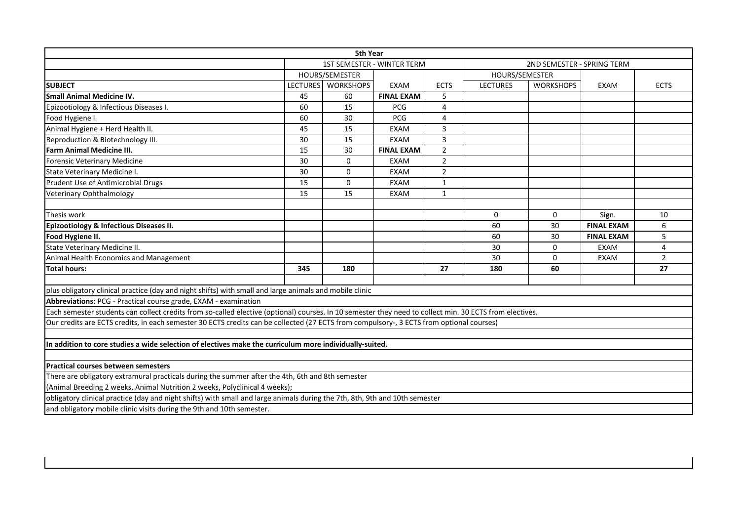|                                                                                                                                                         |     | <b>5th Year</b>    |                                   |                |                 |                            |                   |                |
|---------------------------------------------------------------------------------------------------------------------------------------------------------|-----|--------------------|-----------------------------------|----------------|-----------------|----------------------------|-------------------|----------------|
|                                                                                                                                                         |     |                    | <b>1ST SEMESTER - WINTER TERM</b> |                |                 | 2ND SEMESTER - SPRING TERM |                   |                |
|                                                                                                                                                         |     | HOURS/SEMESTER     |                                   |                | HOURS/SEMESTER  |                            |                   |                |
| <b>SUBJECT</b>                                                                                                                                          |     | LECTURES WORKSHOPS | <b>EXAM</b>                       | <b>ECTS</b>    | <b>LECTURES</b> | <b>WORKSHOPS</b>           | EXAM              | <b>ECTS</b>    |
| <b>Small Animal Medicine IV.</b>                                                                                                                        | 45  | 60                 | <b>FINAL EXAM</b>                 | 5              |                 |                            |                   |                |
| Epizootiology & Infectious Diseases I.                                                                                                                  | 60  | 15                 | <b>PCG</b>                        | $\overline{4}$ |                 |                            |                   |                |
| Food Hygiene I.                                                                                                                                         | 60  | 30                 | <b>PCG</b>                        | 4              |                 |                            |                   |                |
| Animal Hygiene + Herd Health II.                                                                                                                        | 45  | 15                 | <b>EXAM</b>                       | 3              |                 |                            |                   |                |
| Reproduction & Biotechnology III.                                                                                                                       | 30  | 15                 | <b>EXAM</b>                       | 3              |                 |                            |                   |                |
| <b>Farm Animal Medicine III.</b>                                                                                                                        | 15  | 30                 | <b>FINAL EXAM</b>                 | $\overline{2}$ |                 |                            |                   |                |
| <b>Forensic Veterinary Medicine</b>                                                                                                                     | 30  | 0                  | <b>EXAM</b>                       | $\overline{2}$ |                 |                            |                   |                |
| State Veterinary Medicine I.                                                                                                                            | 30  | 0                  | <b>EXAM</b>                       | $\overline{2}$ |                 |                            |                   |                |
| Prudent Use of Antimicrobial Drugs                                                                                                                      | 15  | 0                  | <b>EXAM</b>                       | $\mathbf{1}$   |                 |                            |                   |                |
| Veterinary Ophthalmology                                                                                                                                | 15  | 15                 | <b>EXAM</b>                       | $\mathbf{1}$   |                 |                            |                   |                |
|                                                                                                                                                         |     |                    |                                   |                |                 |                            |                   |                |
| Thesis work                                                                                                                                             |     |                    |                                   |                | 0               | 0                          | Sign.             | 10             |
| Epizootiology & Infectious Diseases II.                                                                                                                 |     |                    |                                   |                | 60              | 30                         | <b>FINAL EXAM</b> | 6              |
| Food Hygiene II.                                                                                                                                        |     |                    |                                   |                | 60              | 30                         | <b>FINAL EXAM</b> | 5              |
| State Veterinary Medicine II.                                                                                                                           |     |                    |                                   |                | 30              | 0                          | <b>EXAM</b>       | 4              |
| Animal Health Economics and Management                                                                                                                  |     |                    |                                   |                | 30              | $\Omega$                   | EXAM              | $\overline{2}$ |
| <b>Total hours:</b>                                                                                                                                     | 345 | 180                |                                   | 27             | 180             | 60                         |                   | 27             |
|                                                                                                                                                         |     |                    |                                   |                |                 |                            |                   |                |
| plus obligatory clinical practice (day and night shifts) with small and large animals and mobile clinic                                                 |     |                    |                                   |                |                 |                            |                   |                |
| Abbreviations: PCG - Practical course grade, EXAM - examination                                                                                         |     |                    |                                   |                |                 |                            |                   |                |
| Each semester students can collect credits from so-called elective (optional) courses. In 10 semester they need to collect min. 30 ECTS from electives. |     |                    |                                   |                |                 |                            |                   |                |
| Our credits are ECTS credits, in each semester 30 ECTS credits can be collected (27 ECTS from compulsory-, 3 ECTS from optional courses)                |     |                    |                                   |                |                 |                            |                   |                |
|                                                                                                                                                         |     |                    |                                   |                |                 |                            |                   |                |
| In addition to core studies a wide selection of electives make the curriculum more individually-suited.                                                 |     |                    |                                   |                |                 |                            |                   |                |
|                                                                                                                                                         |     |                    |                                   |                |                 |                            |                   |                |
| Practical courses between semesters                                                                                                                     |     |                    |                                   |                |                 |                            |                   |                |
| There are obligatory extramural practicals during the summer after the 4th, 6th and 8th semester                                                        |     |                    |                                   |                |                 |                            |                   |                |
| (Animal Breeding 2 weeks, Animal Nutrition 2 weeks, Polyclinical 4 weeks);                                                                              |     |                    |                                   |                |                 |                            |                   |                |
| obligatory clinical practice (day and night shifts) with small and large animals during the 7th, 8th, 9th and 10th semester                             |     |                    |                                   |                |                 |                            |                   |                |
| and obligatory mobile clinic visits during the 9th and 10th semester.                                                                                   |     |                    |                                   |                |                 |                            |                   |                |